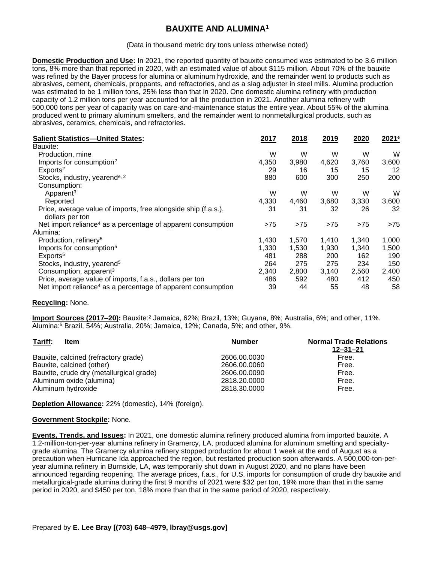## **BAUXITE AND ALUMINA<sup>1</sup>**

(Data in thousand metric dry tons unless otherwise noted)

**Domestic Production and Use:** In 2021, the reported quantity of bauxite consumed was estimated to be 3.6 million tons, 8% more than that reported in 2020, with an estimated value of about \$115 million. About 70% of the bauxite was refined by the Bayer process for alumina or aluminum hydroxide, and the remainder went to products such as abrasives, cement, chemicals, proppants, and refractories, and as a slag adjuster in steel mills. Alumina production was estimated to be 1 million tons, 25% less than that in 2020. One domestic alumina refinery with production capacity of 1.2 million tons per year accounted for all the production in 2021. Another alumina refinery with 500,000 tons per year of capacity was on care-and-maintenance status the entire year. About 55% of the alumina produced went to primary aluminum smelters, and the remainder went to nonmetallurgical products, such as abrasives, ceramics, chemicals, and refractories.

| <b>Salient Statistics-United States:</b>                                          | 2017  | 2018  | 2019  | 2020  | 2021 <sup>e</sup> |
|-----------------------------------------------------------------------------------|-------|-------|-------|-------|-------------------|
| Bauxite:                                                                          |       |       |       |       |                   |
| Production, mine                                                                  | W     | W     | W     | W     | W                 |
| Imports for consumption <sup>2</sup>                                              | 4,350 | 3,980 | 4,620 | 3.760 | 3,600             |
| Exports <sup>2</sup>                                                              | 29    | 16    | 15    | 15    | 12                |
| Stocks, industry, yearend <sup>e, 2</sup>                                         | 880   | 600   | 300   | 250   | 200               |
| Consumption:                                                                      |       |       |       |       |                   |
| Apparent <sup>3</sup>                                                             | W     | W     | W     | W     | W                 |
| Reported                                                                          | 4,330 | 4,460 | 3,680 | 3,330 | 3,600             |
| Price, average value of imports, free alongside ship (f.a.s.),<br>dollars per ton | 31    | 31    | 32    | 26    | 32                |
| Net import reliance <sup>4</sup> as a percentage of apparent consumption          | >75   | >75   | >75   | >75   | >75               |
| Alumina:                                                                          |       |       |       |       |                   |
| Production, refinery <sup>5</sup>                                                 | 1,430 | 1,570 | 1,410 | 1,340 | 1,000             |
| Imports for consumption <sup>5</sup>                                              | 1,330 | 1,530 | 1,930 | 1,340 | 1,500             |
| Exports <sup>5</sup>                                                              | 481   | 288   | 200   | 162   | 190               |
| Stocks, industry, yearend <sup>5</sup>                                            | 264   | 275   | 275   | 234   | 150               |
| Consumption, apparent <sup>3</sup>                                                | 2,340 | 2,800 | 3,140 | 2,560 | 2,400             |
| Price, average value of imports, f.a.s., dollars per ton                          | 486   | 592   | 480   | 412   | 450               |
| Net import reliance <sup>4</sup> as a percentage of apparent consumption          | 39    | 44    | 55    | 48    | 58                |

## **Recycling:** None.

**Import Sources (2017–20):** Bauxite:<sup>2</sup> Jamaica, 62%; Brazil, 13%; Guyana, 8%; Australia, 6%; and other, 11%. Alumina:<sup>5</sup> Brazil, 54%; Australia, 20%; Jamaica, 12%; Canada, 5%; and other, 9%.

| Tariff:<br>Item                          | <b>Number</b> | <b>Normal Trade Relations</b><br>$12 - 31 - 21$ |
|------------------------------------------|---------------|-------------------------------------------------|
| Bauxite, calcined (refractory grade)     | 2606.00.0030  | Free.                                           |
| Bauxite, calcined (other)                | 2606.00.0060  | Free.                                           |
| Bauxite, crude dry (metallurgical grade) | 2606.00.0090  | Free.                                           |
| Aluminum oxide (alumina)                 | 2818.20.0000  | Free.                                           |
| Aluminum hydroxide                       | 2818.30.0000  | Free.                                           |

**Depletion Allowance:** 22% (domestic), 14% (foreign).

## **Government Stockpile:** None.

**Events, Trends, and Issues:** In 2021, one domestic alumina refinery produced alumina from imported bauxite. A 1.2-million-ton-per-year alumina refinery in Gramercy, LA, produced alumina for aluminum smelting and specialtygrade alumina. The Gramercy alumina refinery stopped production for about 1 week at the end of August as a precaution when Hurricane Ida approached the region, but restarted production soon afterwards. A 500,000-ton-peryear alumina refinery in Burnside, LA, was temporarily shut down in August 2020, and no plans have been announced regarding reopening. The average prices, f.a.s., for U.S. imports for consumption of crude dry bauxite and metallurgical-grade alumina during the first 9 months of 2021 were \$32 per ton, 19% more than that in the same period in 2020, and \$450 per ton, 18% more than that in the same period of 2020, respectively.